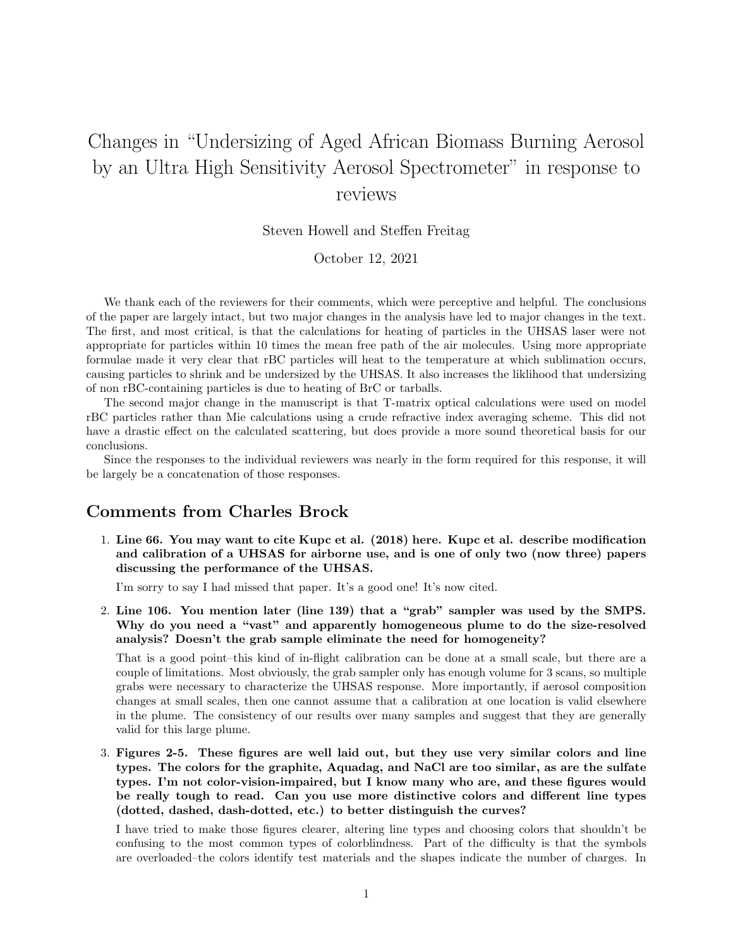# Changes in "Undersizing of Aged African Biomass Burning Aerosol by an Ultra High Sensitivity Aerosol Spectrometer" in response to reviews

Steven Howell and Steffen Freitag

October 12, 2021

We thank each of the reviewers for their comments, which were perceptive and helpful. The conclusions of the paper are largely intact, but two major changes in the analysis have led to major changes in the text. The first, and most critical, is that the calculations for heating of particles in the UHSAS laser were not appropriate for particles within 10 times the mean free path of the air molecules. Using more appropriate formulae made it very clear that rBC particles will heat to the temperature at which sublimation occurs, causing particles to shrink and be undersized by the UHSAS. It also increases the liklihood that undersizing of non rBC-containing particles is due to heating of BrC or tarballs.

The second major change in the manuscript is that T-matrix optical calculations were used on model rBC particles rather than Mie calculations using a crude refractive index averaging scheme. This did not have a drastic effect on the calculated scattering, but does provide a more sound theoretical basis for our conclusions.

Since the responses to the individual reviewers was nearly in the form required for this response, it will be largely be a concatenation of those responses.

# Comments from Charles Brock

1. Line 66. You may want to cite Kupc et al. (2018) here. Kupc et al. describe modification and calibration of a UHSAS for airborne use, and is one of only two (now three) papers discussing the performance of the UHSAS.

I'm sorry to say I had missed that paper. It's a good one! It's now cited.

2. Line 106. You mention later (line 139) that a "grab" sampler was used by the SMPS. Why do you need a "vast" and apparently homogeneous plume to do the size-resolved analysis? Doesn't the grab sample eliminate the need for homogeneity?

That is a good point–this kind of in-flight calibration can be done at a small scale, but there are a couple of limitations. Most obviously, the grab sampler only has enough volume for 3 scans, so multiple grabs were necessary to characterize the UHSAS response. More importantly, if aerosol composition changes at small scales, then one cannot assume that a calibration at one location is valid elsewhere in the plume. The consistency of our results over many samples and suggest that they are generally valid for this large plume.

3. Figures 2-5. These figures are well laid out, but they use very similar colors and line types. The colors for the graphite, Aquadag, and NaCl are too similar, as are the sulfate types. I'm not color-vision-impaired, but I know many who are, and these figures would be really tough to read. Can you use more distinctive colors and different line types (dotted, dashed, dash-dotted, etc.) to better distinguish the curves?

I have tried to make those figures clearer, altering line types and choosing colors that shouldn't be confusing to the most common types of colorblindness. Part of the difficulty is that the symbols are overloaded–the colors identify test materials and the shapes indicate the number of charges. In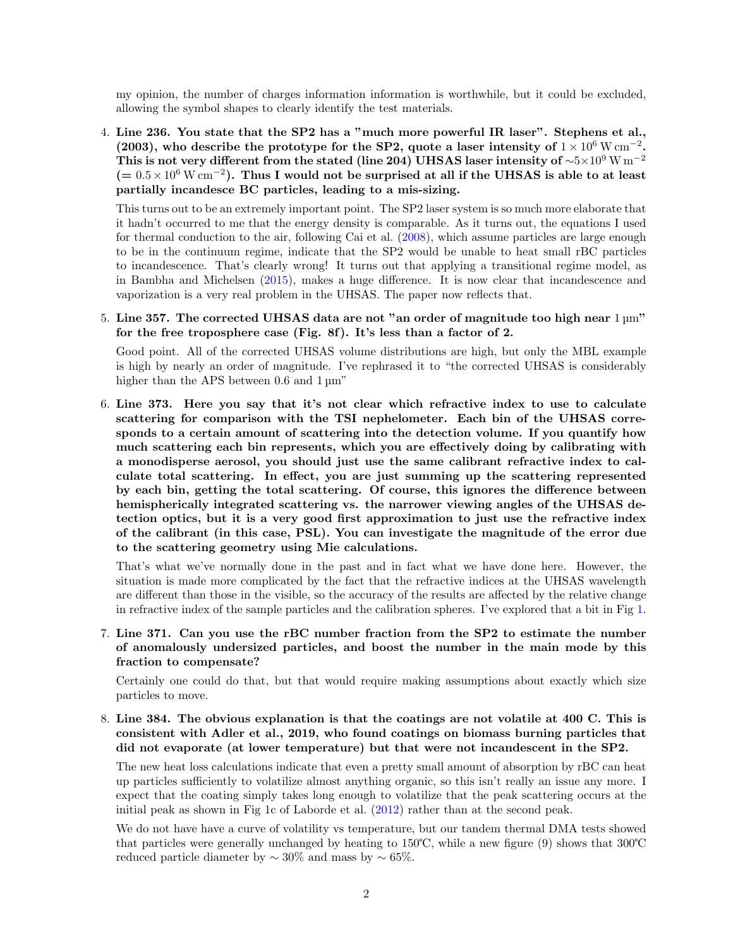my opinion, the number of charges information information is worthwhile, but it could be excluded, allowing the symbol shapes to clearly identify the test materials.

4. Line 236. You state that the SP2 has a "much more powerful IR laser". Stephens et al., (2003), who describe the prototype for the SP2, quote a laser intensity of  $1 \times 10^6$  W cm<sup>-2</sup>. This is not very different from the stated (line 204) UHSAS laser intensity of  $\sim 5 \times 10^9$  W m<sup>-2</sup>  $(= 0.5 \times 10^6 \,\mathrm{W \, cm^{-2}})$ . Thus I would not be surprised at all if the UHSAS is able to at least partially incandesce BC particles, leading to a mis-sizing.

This turns out to be an extremely important point. The SP2 laser system is so much more elaborate that it hadn't occurred to me that the energy density is comparable. As it turns out, the equations I used for thermal conduction to the air, following Cai et al. [\(2008\)](#page-13-0), which assume particles are large enough to be in the continuum regime, indicate that the SP2 would be unable to heat small rBC particles to incandescence. That's clearly wrong! It turns out that applying a transitional regime model, as in Bambha and Michelsen [\(2015\)](#page-11-0), makes a huge difference. It is now clear that incandescence and vaporization is a very real problem in the UHSAS. The paper now reflects that.

5. Line 357. The corrected UHSAS data are not "an order of magnitude too high near  $1 \mu m$ " for the free troposphere case (Fig. 8f). It's less than a factor of 2.

Good point. All of the corrected UHSAS volume distributions are high, but only the MBL example is high by nearly an order of magnitude. I've rephrased it to "the corrected UHSAS is considerably higher than the APS between 0.6 and  $1 \mu m$ "

6. Line 373. Here you say that it's not clear which refractive index to use to calculate scattering for comparison with the TSI nephelometer. Each bin of the UHSAS corresponds to a certain amount of scattering into the detection volume. If you quantify how much scattering each bin represents, which you are effectively doing by calibrating with a monodisperse aerosol, you should just use the same calibrant refractive index to calculate total scattering. In effect, you are just summing up the scattering represented by each bin, getting the total scattering. Of course, this ignores the difference between hemispherically integrated scattering vs. the narrower viewing angles of the UHSAS detection optics, but it is a very good first approximation to just use the refractive index of the calibrant (in this case, PSL). You can investigate the magnitude of the error due to the scattering geometry using Mie calculations.

That's what we've normally done in the past and in fact what we have done here. However, the situation is made more complicated by the fact that the refractive indices at the UHSAS wavelength are different than those in the visible, so the accuracy of the results are affected by the relative change in refractive index of the sample particles and the calibration spheres. I've explored that a bit in Fig [1.](#page-3-0)

7. Line 371. Can you use the rBC number fraction from the SP2 to estimate the number of anomalously undersized particles, and boost the number in the main mode by this fraction to compensate?

Certainly one could do that, but that would require making assumptions about exactly which size particles to move.

8. Line 384. The obvious explanation is that the coatings are not volatile at 400 C. This is consistent with Adler et al., 2019, who found coatings on biomass burning particles that did not evaporate (at lower temperature) but that were not incandescent in the SP2.

The new heat loss calculations indicate that even a pretty small amount of absorption by rBC can heat up particles sufficiently to volatilize almost anything organic, so this isn't really an issue any more. I expect that the coating simply takes long enough to volatilize that the peak scattering occurs at the initial peak as shown in Fig 1c of Laborde et al. [\(2012\)](#page-13-1) rather than at the second peak.

We do not have have a curve of volatility vs temperature, but our tandem thermal DMA tests showed that particles were generally unchanged by heating to 150℃, while a new figure (9) shows that 300℃ reduced particle diameter by  $\sim 30\%$  and mass by  $\sim 65\%$ .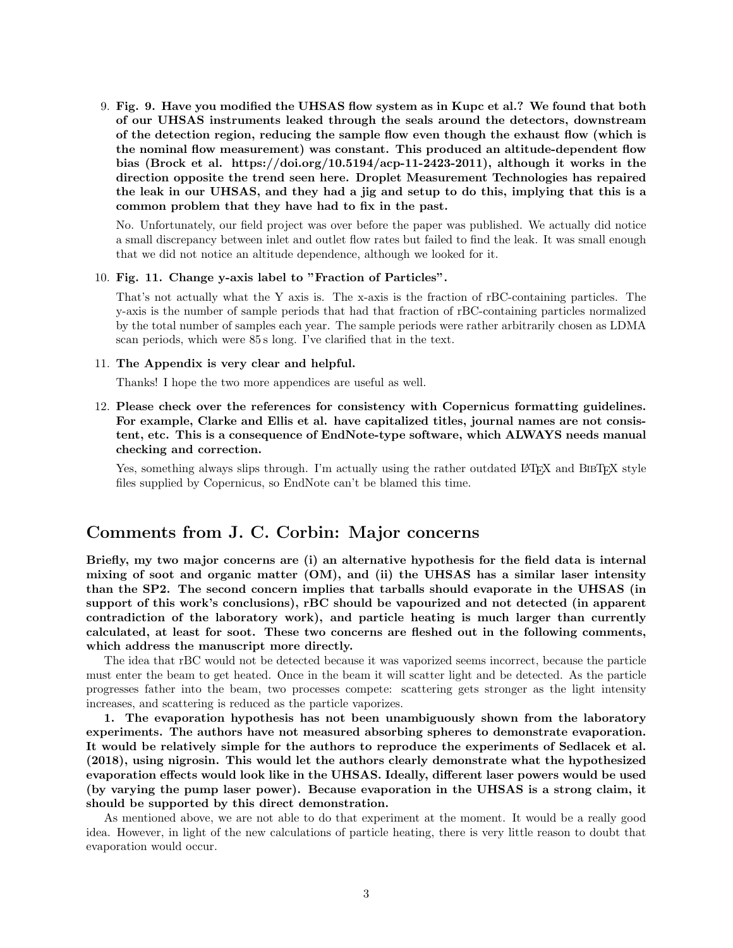9. Fig. 9. Have you modified the UHSAS flow system as in Kupc et al.? We found that both of our UHSAS instruments leaked through the seals around the detectors, downstream of the detection region, reducing the sample flow even though the exhaust flow (which is the nominal flow measurement) was constant. This produced an altitude-dependent flow bias (Brock et al. https://doi.org/10.5194/acp-11-2423-2011), although it works in the direction opposite the trend seen here. Droplet Measurement Technologies has repaired the leak in our UHSAS, and they had a jig and setup to do this, implying that this is a common problem that they have had to fix in the past.

No. Unfortunately, our field project was over before the paper was published. We actually did notice a small discrepancy between inlet and outlet flow rates but failed to find the leak. It was small enough that we did not notice an altitude dependence, although we looked for it.

#### 10. Fig. 11. Change y-axis label to "Fraction of Particles".

That's not actually what the Y axis is. The x-axis is the fraction of rBC-containing particles. The y-axis is the number of sample periods that had that fraction of rBC-containing particles normalized by the total number of samples each year. The sample periods were rather arbitrarily chosen as LDMA scan periods, which were 85 s long. I've clarified that in the text.

#### 11. The Appendix is very clear and helpful.

Thanks! I hope the two more appendices are useful as well.

12. Please check over the references for consistency with Copernicus formatting guidelines. For example, Clarke and Ellis et al. have capitalized titles, journal names are not consistent, etc. This is a consequence of EndNote-type software, which ALWAYS needs manual checking and correction.

Yes, something always slips through. I'm actually using the rather outdated LATEX and BIBTEX style files supplied by Copernicus, so EndNote can't be blamed this time.

## Comments from J. C. Corbin: Major concerns

Briefly, my two major concerns are (i) an alternative hypothesis for the field data is internal mixing of soot and organic matter (OM), and (ii) the UHSAS has a similar laser intensity than the SP2. The second concern implies that tarballs should evaporate in the UHSAS (in support of this work's conclusions), rBC should be vapourized and not detected (in apparent contradiction of the laboratory work), and particle heating is much larger than currently calculated, at least for soot. These two concerns are fleshed out in the following comments, which address the manuscript more directly.

The idea that rBC would not be detected because it was vaporized seems incorrect, because the particle must enter the beam to get heated. Once in the beam it will scatter light and be detected. As the particle progresses father into the beam, two processes compete: scattering gets stronger as the light intensity increases, and scattering is reduced as the particle vaporizes.

1. The evaporation hypothesis has not been unambiguously shown from the laboratory experiments. The authors have not measured absorbing spheres to demonstrate evaporation. It would be relatively simple for the authors to reproduce the experiments of Sedlacek et al. (2018), using nigrosin. This would let the authors clearly demonstrate what the hypothesized evaporation effects would look like in the UHSAS. Ideally, different laser powers would be used (by varying the pump laser power). Because evaporation in the UHSAS is a strong claim, it should be supported by this direct demonstration.

As mentioned above, we are not able to do that experiment at the moment. It would be a really good idea. However, in light of the new calculations of particle heating, there is very little reason to doubt that evaporation would occur.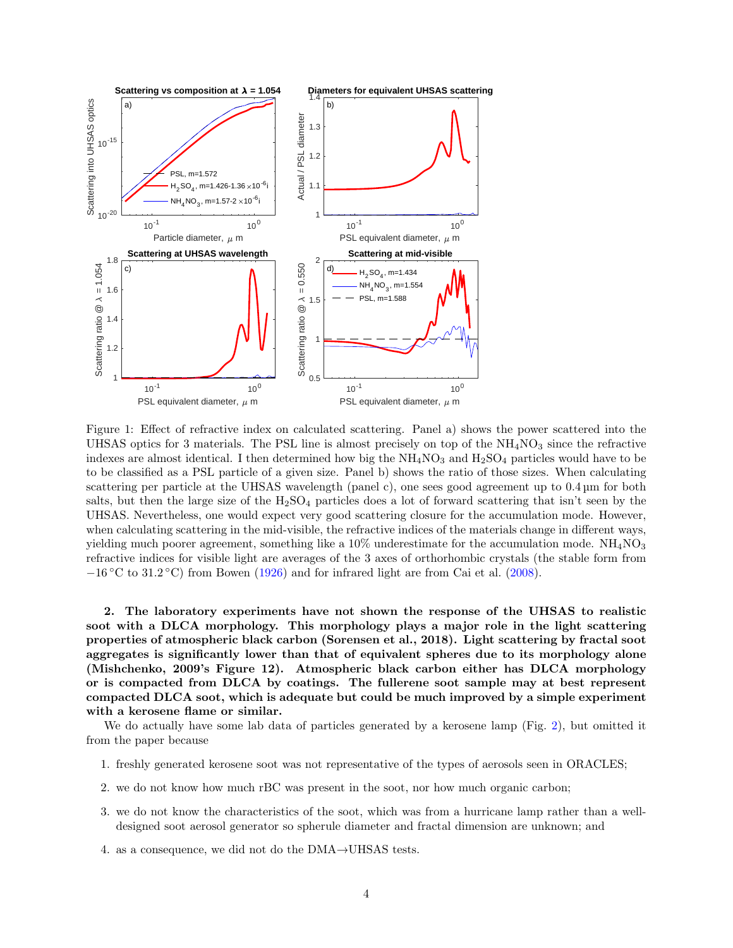

<span id="page-3-0"></span>Figure 1: Effect of refractive index on calculated scattering. Panel a) shows the power scattered into the UHSAS optics for 3 materials. The PSL line is almost precisely on top of the  $NH<sub>4</sub>NO<sub>3</sub>$  since the refractive indexes are almost identical. I then determined how big the  $NH<sub>4</sub>NO<sub>3</sub>$  and  $H<sub>2</sub>SO<sub>4</sub>$  particles would have to be to be classified as a PSL particle of a given size. Panel b) shows the ratio of those sizes. When calculating scattering per particle at the UHSAS wavelength (panel c), one sees good agreement up to 0.4 µm for both salts, but then the large size of the  $H_2SO_4$  particles does a lot of forward scattering that isn't seen by the UHSAS. Nevertheless, one would expect very good scattering closure for the accumulation mode. However, when calculating scattering in the mid-visible, the refractive indices of the materials change in different ways, yielding much poorer agreement, something like a  $10\%$  underestimate for the accumulation mode.  $NH_4NO_3$ refractive indices for visible light are averages of the 3 axes of orthorhombic crystals (the stable form from −16 ◦C to 31.2 ◦C) from Bowen [\(1926\)](#page-11-1) and for infrared light are from Cai et al. [\(2008\)](#page-13-0).

2. The laboratory experiments have not shown the response of the UHSAS to realistic soot with a DLCA morphology. This morphology plays a major role in the light scattering properties of atmospheric black carbon (Sorensen et al., 2018). Light scattering by fractal soot aggregates is significantly lower than that of equivalent spheres due to its morphology alone (Mishchenko, 2009's Figure 12). Atmospheric black carbon either has DLCA morphology or is compacted from DLCA by coatings. The fullerene soot sample may at best represent compacted DLCA soot, which is adequate but could be much improved by a simple experiment with a kerosene flame or similar.

We do actually have some lab data of particles generated by a kerosene lamp (Fig. [2\)](#page-4-0), but omitted it from the paper because

- 1. freshly generated kerosene soot was not representative of the types of aerosols seen in ORACLES;
- 2. we do not know how much rBC was present in the soot, nor how much organic carbon;
- 3. we do not know the characteristics of the soot, which was from a hurricane lamp rather than a welldesigned soot aerosol generator so spherule diameter and fractal dimension are unknown; and
- 4. as a consequence, we did not do the DMA→UHSAS tests.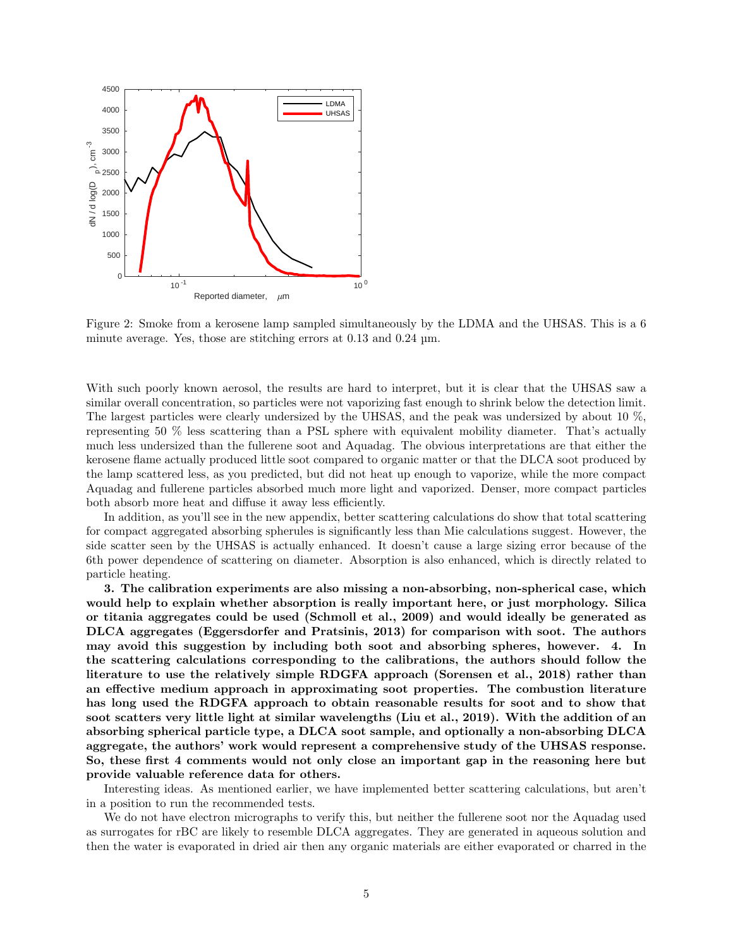

<span id="page-4-0"></span>Figure 2: Smoke from a kerosene lamp sampled simultaneously by the LDMA and the UHSAS. This is a 6 minute average. Yes, those are stitching errors at 0.13 and 0.24 µm.

With such poorly known aerosol, the results are hard to interpret, but it is clear that the UHSAS saw a similar overall concentration, so particles were not vaporizing fast enough to shrink below the detection limit. The largest particles were clearly undersized by the UHSAS, and the peak was undersized by about 10 %, representing 50 % less scattering than a PSL sphere with equivalent mobility diameter. That's actually much less undersized than the fullerene soot and Aquadag. The obvious interpretations are that either the kerosene flame actually produced little soot compared to organic matter or that the DLCA soot produced by the lamp scattered less, as you predicted, but did not heat up enough to vaporize, while the more compact Aquadag and fullerene particles absorbed much more light and vaporized. Denser, more compact particles both absorb more heat and diffuse it away less efficiently.

In addition, as you'll see in the new appendix, better scattering calculations do show that total scattering for compact aggregated absorbing spherules is significantly less than Mie calculations suggest. However, the side scatter seen by the UHSAS is actually enhanced. It doesn't cause a large sizing error because of the 6th power dependence of scattering on diameter. Absorption is also enhanced, which is directly related to particle heating.

3. The calibration experiments are also missing a non-absorbing, non-spherical case, which would help to explain whether absorption is really important here, or just morphology. Silica or titania aggregates could be used (Schmoll et al., 2009) and would ideally be generated as DLCA aggregates (Eggersdorfer and Pratsinis, 2013) for comparison with soot. The authors may avoid this suggestion by including both soot and absorbing spheres, however. 4. In the scattering calculations corresponding to the calibrations, the authors should follow the literature to use the relatively simple RDGFA approach (Sorensen et al., 2018) rather than an effective medium approach in approximating soot properties. The combustion literature has long used the RDGFA approach to obtain reasonable results for soot and to show that soot scatters very little light at similar wavelengths (Liu et al., 2019). With the addition of an absorbing spherical particle type, a DLCA soot sample, and optionally a non-absorbing DLCA aggregate, the authors' work would represent a comprehensive study of the UHSAS response. So, these first 4 comments would not only close an important gap in the reasoning here but provide valuable reference data for others.

Interesting ideas. As mentioned earlier, we have implemented better scattering calculations, but aren't in a position to run the recommended tests.

We do not have electron micrographs to verify this, but neither the fullerene soot nor the Aquadag used as surrogates for rBC are likely to resemble DLCA aggregates. They are generated in aqueous solution and then the water is evaporated in dried air then any organic materials are either evaporated or charred in the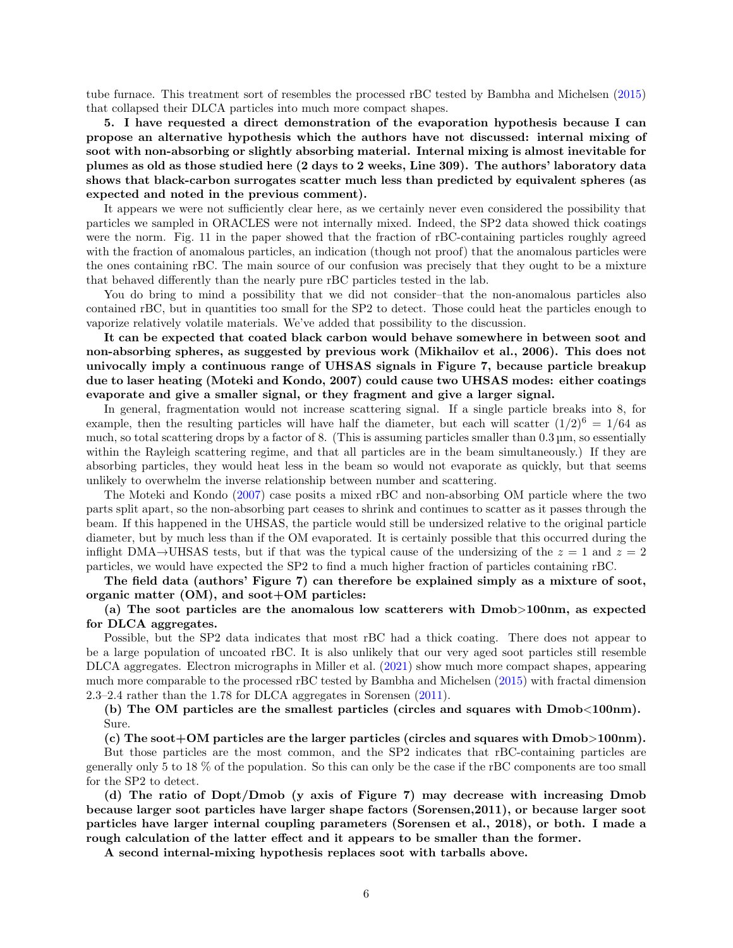tube furnace. This treatment sort of resembles the processed rBC tested by Bambha and Michelsen [\(2015\)](#page-11-0) that collapsed their DLCA particles into much more compact shapes.

5. I have requested a direct demonstration of the evaporation hypothesis because I can propose an alternative hypothesis which the authors have not discussed: internal mixing of soot with non-absorbing or slightly absorbing material. Internal mixing is almost inevitable for plumes as old as those studied here (2 days to 2 weeks, Line 309). The authors' laboratory data shows that black-carbon surrogates scatter much less than predicted by equivalent spheres (as expected and noted in the previous comment).

It appears we were not sufficiently clear here, as we certainly never even considered the possibility that particles we sampled in ORACLES were not internally mixed. Indeed, the SP2 data showed thick coatings were the norm. Fig. 11 in the paper showed that the fraction of rBC-containing particles roughly agreed with the fraction of anomalous particles, an indication (though not proof) that the anomalous particles were the ones containing rBC. The main source of our confusion was precisely that they ought to be a mixture that behaved differently than the nearly pure rBC particles tested in the lab.

You do bring to mind a possibility that we did not consider–that the non-anomalous particles also contained rBC, but in quantities too small for the SP2 to detect. Those could heat the particles enough to vaporize relatively volatile materials. We've added that possibility to the discussion.

It can be expected that coated black carbon would behave somewhere in between soot and non-absorbing spheres, as suggested by previous work (Mikhailov et al., 2006). This does not univocally imply a continuous range of UHSAS signals in Figure 7, because particle breakup due to laser heating (Moteki and Kondo, 2007) could cause two UHSAS modes: either coatings evaporate and give a smaller signal, or they fragment and give a larger signal.

In general, fragmentation would not increase scattering signal. If a single particle breaks into 8, for example, then the resulting particles will have half the diameter, but each will scatter  $(1/2)^6 = 1/64$  as much, so total scattering drops by a factor of 8. (This is assuming particles smaller than  $0.3 \,\text{\mu m}$ , so essentially within the Rayleigh scattering regime, and that all particles are in the beam simultaneously.) If they are absorbing particles, they would heat less in the beam so would not evaporate as quickly, but that seems unlikely to overwhelm the inverse relationship between number and scattering.

The Moteki and Kondo [\(2007\)](#page-13-2) case posits a mixed rBC and non-absorbing OM particle where the two parts split apart, so the non-absorbing part ceases to shrink and continues to scatter as it passes through the beam. If this happened in the UHSAS, the particle would still be undersized relative to the original particle diameter, but by much less than if the OM evaporated. It is certainly possible that this occurred during the inflight DMA→UHSAS tests, but if that was the typical cause of the undersizing of the  $z = 1$  and  $z = 2$ particles, we would have expected the SP2 to find a much higher fraction of particles containing rBC.

The field data (authors' Figure 7) can therefore be explained simply as a mixture of soot, organic matter  $(OM)$ , and soot+OM particles:

(a) The soot particles are the anomalous low scatterers with Dmob>100nm, as expected for DLCA aggregates.

Possible, but the SP2 data indicates that most rBC had a thick coating. There does not appear to be a large population of uncoated rBC. It is also unlikely that our very aged soot particles still resemble DLCA aggregates. Electron micrographs in Miller et al. [\(2021\)](#page-13-3) show much more compact shapes, appearing much more comparable to the processed rBC tested by Bambha and Michelsen [\(2015\)](#page-11-0) with fractal dimension 2.3–2.4 rather than the 1.78 for DLCA aggregates in Sorensen [\(2011\)](#page-13-4).

(b) The OM particles are the smallest particles (circles and squares with Dmob<100nm). Sure.

(c) The soot+OM particles are the larger particles (circles and squares with Dmob>100nm).

But those particles are the most common, and the SP2 indicates that rBC-containing particles are generally only 5 to 18 % of the population. So this can only be the case if the rBC components are too small for the SP2 to detect.

(d) The ratio of Dopt/Dmob (y axis of Figure 7) may decrease with increasing Dmob because larger soot particles have larger shape factors (Sorensen,2011), or because larger soot particles have larger internal coupling parameters (Sorensen et al., 2018), or both. I made a rough calculation of the latter effect and it appears to be smaller than the former.

A second internal-mixing hypothesis replaces soot with tarballs above.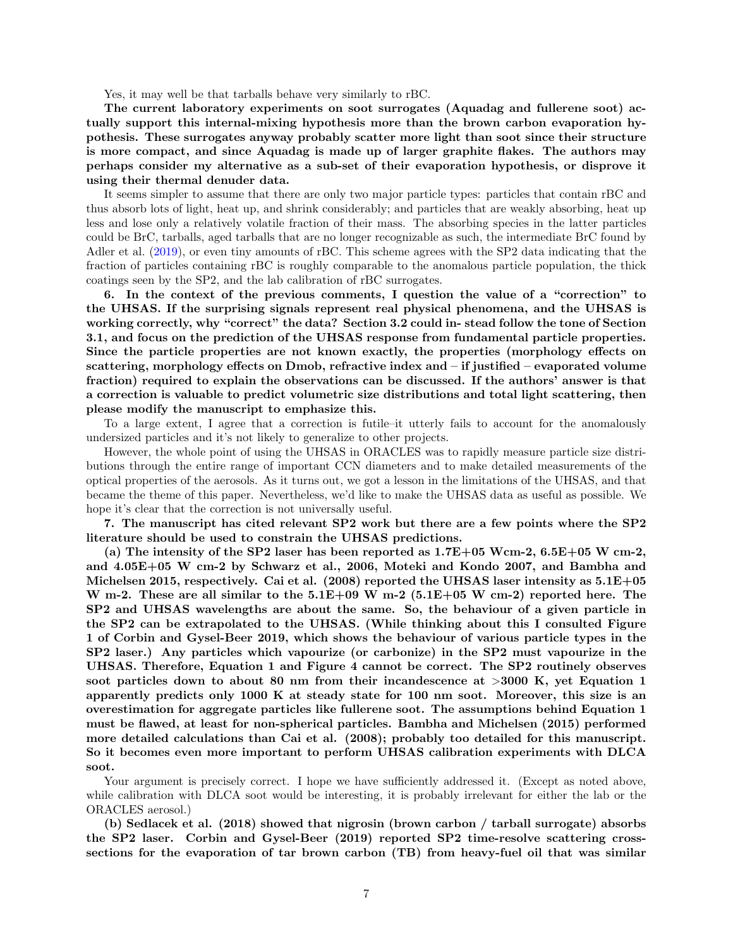Yes, it may well be that tarballs behave very similarly to rBC.

The current laboratory experiments on soot surrogates (Aquadag and fullerene soot) actually support this internal-mixing hypothesis more than the brown carbon evaporation hypothesis. These surrogates anyway probably scatter more light than soot since their structure is more compact, and since Aquadag is made up of larger graphite flakes. The authors may perhaps consider my alternative as a sub-set of their evaporation hypothesis, or disprove it using their thermal denuder data.

It seems simpler to assume that there are only two major particle types: particles that contain rBC and thus absorb lots of light, heat up, and shrink considerably; and particles that are weakly absorbing, heat up less and lose only a relatively volatile fraction of their mass. The absorbing species in the latter particles could be BrC, tarballs, aged tarballs that are no longer recognizable as such, the intermediate BrC found by Adler et al. [\(2019\)](#page-11-2), or even tiny amounts of rBC. This scheme agrees with the SP2 data indicating that the fraction of particles containing rBC is roughly comparable to the anomalous particle population, the thick coatings seen by the SP2, and the lab calibration of rBC surrogates.

6. In the context of the previous comments, I question the value of a "correction" to the UHSAS. If the surprising signals represent real physical phenomena, and the UHSAS is working correctly, why "correct" the data? Section 3.2 could in- stead follow the tone of Section 3.1, and focus on the prediction of the UHSAS response from fundamental particle properties. Since the particle properties are not known exactly, the properties (morphology effects on scattering, morphology effects on Dmob, refractive index and – if justified – evaporated volume fraction) required to explain the observations can be discussed. If the authors' answer is that a correction is valuable to predict volumetric size distributions and total light scattering, then please modify the manuscript to emphasize this.

To a large extent, I agree that a correction is futile–it utterly fails to account for the anomalously undersized particles and it's not likely to generalize to other projects.

However, the whole point of using the UHSAS in ORACLES was to rapidly measure particle size distributions through the entire range of important CCN diameters and to make detailed measurements of the optical properties of the aerosols. As it turns out, we got a lesson in the limitations of the UHSAS, and that became the theme of this paper. Nevertheless, we'd like to make the UHSAS data as useful as possible. We hope it's clear that the correction is not universally useful.

7. The manuscript has cited relevant SP2 work but there are a few points where the SP2 literature should be used to constrain the UHSAS predictions.

(a) The intensity of the SP2 laser has been reported as  $1.7E+05$  Wcm-2,  $6.5E+05$  W cm-2, and 4.05E+05 W cm-2 by Schwarz et al., 2006, Moteki and Kondo 2007, and Bambha and Michelsen 2015, respectively. Cai et al.  $(2008)$  reported the UHSAS laser intensity as  $5.1E+05$ W m-2. These are all similar to the  $5.1E+09$  W m-2 ( $5.1E+05$  W cm-2) reported here. The SP2 and UHSAS wavelengths are about the same. So, the behaviour of a given particle in the SP2 can be extrapolated to the UHSAS. (While thinking about this I consulted Figure 1 of Corbin and Gysel-Beer 2019, which shows the behaviour of various particle types in the SP2 laser.) Any particles which vapourize (or carbonize) in the SP2 must vapourize in the UHSAS. Therefore, Equation 1 and Figure 4 cannot be correct. The SP2 routinely observes soot particles down to about 80 nm from their incandescence at >3000 K, yet Equation 1 apparently predicts only 1000 K at steady state for 100 nm soot. Moreover, this size is an overestimation for aggregate particles like fullerene soot. The assumptions behind Equation 1 must be flawed, at least for non-spherical particles. Bambha and Michelsen (2015) performed more detailed calculations than Cai et al. (2008); probably too detailed for this manuscript. So it becomes even more important to perform UHSAS calibration experiments with DLCA soot.

Your argument is precisely correct. I hope we have sufficiently addressed it. (Except as noted above, while calibration with DLCA soot would be interesting, it is probably irrelevant for either the lab or the ORACLES aerosol.)

(b) Sedlacek et al. (2018) showed that nigrosin (brown carbon / tarball surrogate) absorbs the SP2 laser. Corbin and Gysel-Beer (2019) reported SP2 time-resolve scattering crosssections for the evaporation of tar brown carbon (TB) from heavy-fuel oil that was similar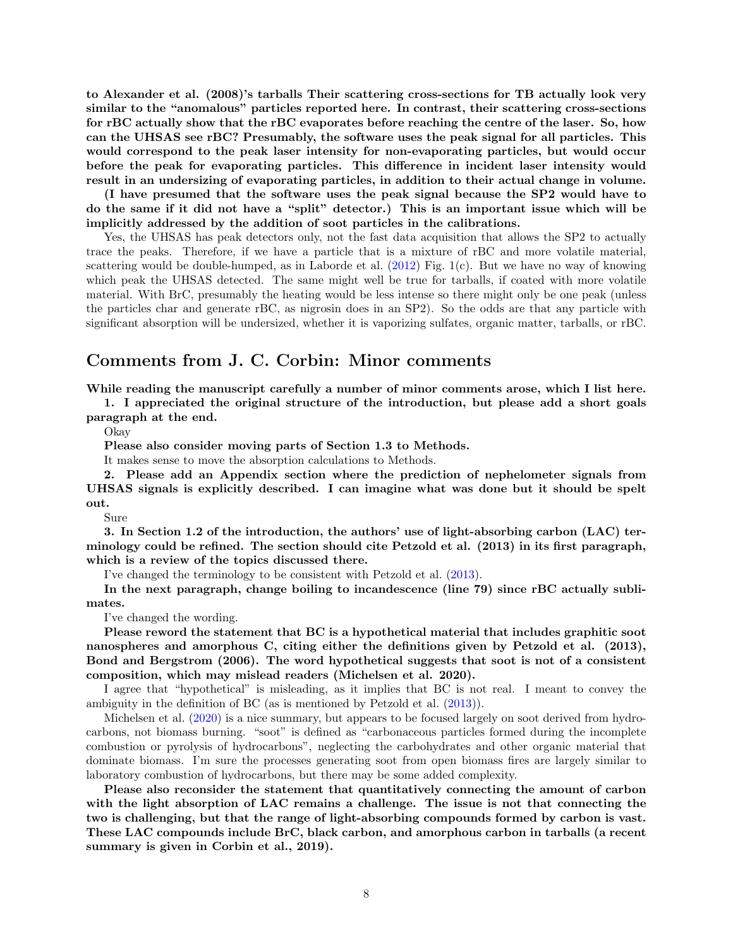to Alexander et al. (2008)'s tarballs Their scattering cross-sections for TB actually look very similar to the "anomalous" particles reported here. In contrast, their scattering cross-sections for rBC actually show that the rBC evaporates before reaching the centre of the laser. So, how can the UHSAS see rBC? Presumably, the software uses the peak signal for all particles. This would correspond to the peak laser intensity for non-evaporating particles, but would occur before the peak for evaporating particles. This difference in incident laser intensity would result in an undersizing of evaporating particles, in addition to their actual change in volume.

(I have presumed that the software uses the peak signal because the SP2 would have to do the same if it did not have a "split" detector.) This is an important issue which will be implicitly addressed by the addition of soot particles in the calibrations.

Yes, the UHSAS has peak detectors only, not the fast data acquisition that allows the SP2 to actually trace the peaks. Therefore, if we have a particle that is a mixture of rBC and more volatile material, scattering would be double-humped, as in Laborde et al. [\(2012\)](#page-13-1) Fig. 1(c). But we have no way of knowing which peak the UHSAS detected. The same might well be true for tarballs, if coated with more volatile material. With BrC, presumably the heating would be less intense so there might only be one peak (unless the particles char and generate rBC, as nigrosin does in an SP2). So the odds are that any particle with significant absorption will be undersized, whether it is vaporizing sulfates, organic matter, tarballs, or rBC.

# Comments from J. C. Corbin: Minor comments

While reading the manuscript carefully a number of minor comments arose, which I list here.

1. I appreciated the original structure of the introduction, but please add a short goals paragraph at the end.

Okay

Please also consider moving parts of Section 1.3 to Methods.

It makes sense to move the absorption calculations to Methods.

2. Please add an Appendix section where the prediction of nephelometer signals from UHSAS signals is explicitly described. I can imagine what was done but it should be spelt out.

Sure

3. In Section 1.2 of the introduction, the authors' use of light-absorbing carbon (LAC) terminology could be refined. The section should cite Petzold et al. (2013) in its first paragraph, which is a review of the topics discussed there.

I've changed the terminology to be consistent with Petzold et al. [\(2013\)](#page-13-5).

In the next paragraph, change boiling to incandescence (line 79) since rBC actually sublimates.

I've changed the wording.

Please reword the statement that BC is a hypothetical material that includes graphitic soot nanospheres and amorphous C, citing either the definitions given by Petzold et al. (2013), Bond and Bergstrom (2006). The word hypothetical suggests that soot is not of a consistent composition, which may mislead readers (Michelsen et al. 2020).

I agree that "hypothetical" is misleading, as it implies that BC is not real. I meant to convey the ambiguity in the definition of BC (as is mentioned by Petzold et al. [\(2013\)](#page-13-5)).

Michelsen et al. [\(2020\)](#page-13-6) is a nice summary, but appears to be focused largely on soot derived from hydrocarbons, not biomass burning. "soot" is defined as "carbonaceous particles formed during the incomplete combustion or pyrolysis of hydrocarbons", neglecting the carbohydrates and other organic material that dominate biomass. I'm sure the processes generating soot from open biomass fires are largely similar to laboratory combustion of hydrocarbons, but there may be some added complexity.

Please also reconsider the statement that quantitatively connecting the amount of carbon with the light absorption of LAC remains a challenge. The issue is not that connecting the two is challenging, but that the range of light-absorbing compounds formed by carbon is vast. These LAC compounds include BrC, black carbon, and amorphous carbon in tarballs (a recent summary is given in Corbin et al., 2019).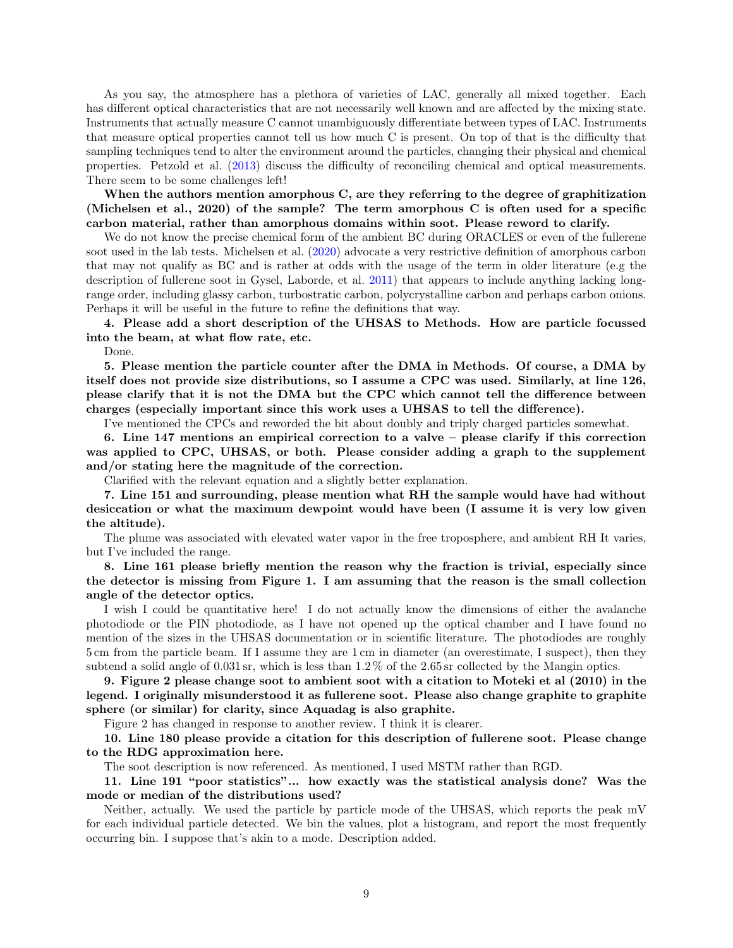As you say, the atmosphere has a plethora of varieties of LAC, generally all mixed together. Each has different optical characteristics that are not necessarily well known and are affected by the mixing state. Instruments that actually measure C cannot unambiguously differentiate between types of LAC. Instruments that measure optical properties cannot tell us how much C is present. On top of that is the difficulty that sampling techniques tend to alter the environment around the particles, changing their physical and chemical properties. Petzold et al. [\(2013\)](#page-13-5) discuss the difficulty of reconciling chemical and optical measurements. There seem to be some challenges left!

When the authors mention amorphous C, are they referring to the degree of graphitization (Michelsen et al., 2020) of the sample? The term amorphous C is often used for a specific carbon material, rather than amorphous domains within soot. Please reword to clarify.

We do not know the precise chemical form of the ambient BC during ORACLES or even of the fullerene soot used in the lab tests. Michelsen et al. [\(2020\)](#page-13-6) advocate a very restrictive definition of amorphous carbon that may not qualify as BC and is rather at odds with the usage of the term in older literature (e.g the description of fullerene soot in Gysel, Laborde, et al. [2011\)](#page-13-7) that appears to include anything lacking longrange order, including glassy carbon, turbostratic carbon, polycrystalline carbon and perhaps carbon onions. Perhaps it will be useful in the future to refine the definitions that way.

4. Please add a short description of the UHSAS to Methods. How are particle focussed into the beam, at what flow rate, etc.

Done.

5. Please mention the particle counter after the DMA in Methods. Of course, a DMA by itself does not provide size distributions, so I assume a CPC was used. Similarly, at line 126, please clarify that it is not the DMA but the CPC which cannot tell the difference between charges (especially important since this work uses a UHSAS to tell the difference).

I've mentioned the CPCs and reworded the bit about doubly and triply charged particles somewhat.

6. Line 147 mentions an empirical correction to a valve – please clarify if this correction was applied to CPC, UHSAS, or both. Please consider adding a graph to the supplement and/or stating here the magnitude of the correction.

Clarified with the relevant equation and a slightly better explanation.

7. Line 151 and surrounding, please mention what RH the sample would have had without desiccation or what the maximum dewpoint would have been (I assume it is very low given the altitude).

The plume was associated with elevated water vapor in the free troposphere, and ambient RH It varies, but I've included the range.

8. Line 161 please briefly mention the reason why the fraction is trivial, especially since the detector is missing from Figure 1. I am assuming that the reason is the small collection angle of the detector optics.

I wish I could be quantitative here! I do not actually know the dimensions of either the avalanche photodiode or the PIN photodiode, as I have not opened up the optical chamber and I have found no mention of the sizes in the UHSAS documentation or in scientific literature. The photodiodes are roughly 5 cm from the particle beam. If I assume they are 1 cm in diameter (an overestimate, I suspect), then they subtend a solid angle of 0.031 sr, which is less than 1.2 % of the 2.65 sr collected by the Mangin optics.

9. Figure 2 please change soot to ambient soot with a citation to Moteki et al (2010) in the legend. I originally misunderstood it as fullerene soot. Please also change graphite to graphite sphere (or similar) for clarity, since Aquadag is also graphite.

Figure 2 has changed in response to another review. I think it is clearer.

10. Line 180 please provide a citation for this description of fullerene soot. Please change to the RDG approximation here.

The soot description is now referenced. As mentioned, I used MSTM rather than RGD.

11. Line 191 "poor statistics"... how exactly was the statistical analysis done? Was the mode or median of the distributions used?

Neither, actually. We used the particle by particle mode of the UHSAS, which reports the peak mV for each individual particle detected. We bin the values, plot a histogram, and report the most frequently occurring bin. I suppose that's akin to a mode. Description added.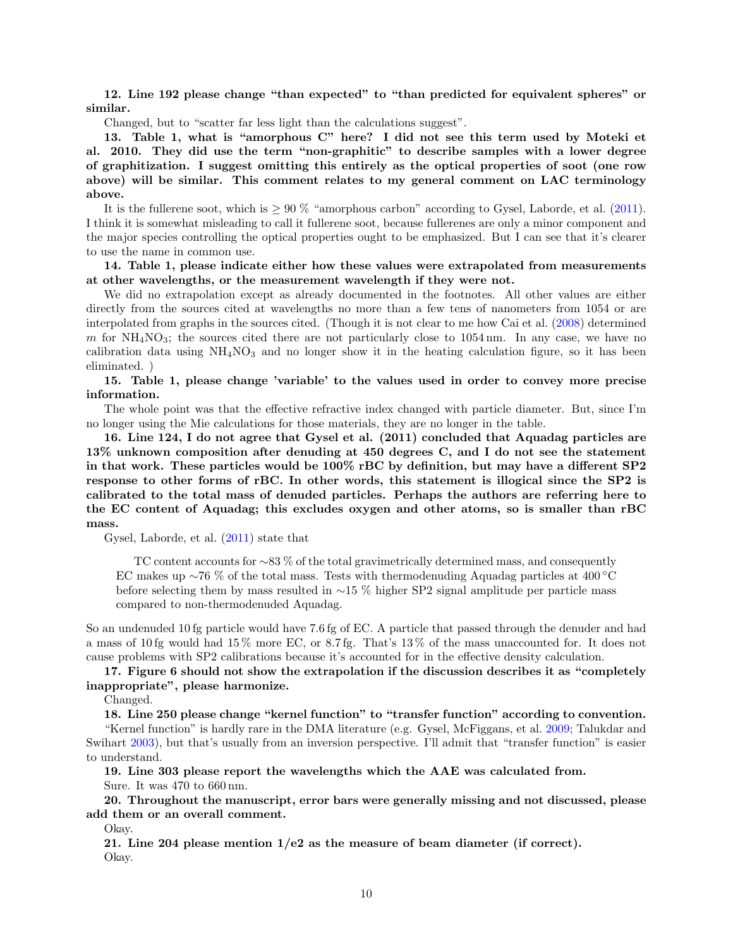12. Line 192 please change "than expected" to "than predicted for equivalent spheres" or similar.

Changed, but to "scatter far less light than the calculations suggest".

13. Table 1, what is "amorphous C" here? I did not see this term used by Moteki et al. 2010. They did use the term "non-graphitic" to describe samples with a lower degree of graphitization. I suggest omitting this entirely as the optical properties of soot (one row above) will be similar. This comment relates to my general comment on LAC terminology above.

It is the fullerene soot, which is  $\geq 90\%$  "amorphous carbon" according to Gysel, Laborde, et al. [\(2011\)](#page-13-7). I think it is somewhat misleading to call it fullerene soot, because fullerenes are only a minor component and the major species controlling the optical properties ought to be emphasized. But I can see that it's clearer to use the name in common use.

14. Table 1, please indicate either how these values were extrapolated from measurements at other wavelengths, or the measurement wavelength if they were not.

We did no extrapolation except as already documented in the footnotes. All other values are either directly from the sources cited at wavelengths no more than a few tens of nanometers from 1054 or are interpolated from graphs in the sources cited. (Though it is not clear to me how Cai et al. [\(2008\)](#page-13-0) determined m for  $NH_4NO_3$ ; the sources cited there are not particularly close to 1054 nm. In any case, we have no calibration data using  $NH<sub>4</sub>NO<sub>3</sub>$  and no longer show it in the heating calculation figure, so it has been eliminated. )

#### 15. Table 1, please change 'variable' to the values used in order to convey more precise information.

The whole point was that the effective refractive index changed with particle diameter. But, since I'm no longer using the Mie calculations for those materials, they are no longer in the table.

16. Line 124, I do not agree that Gysel et al. (2011) concluded that Aquadag particles are 13% unknown composition after denuding at 450 degrees C, and I do not see the statement in that work. These particles would be 100% rBC by definition, but may have a different SP2 response to other forms of rBC. In other words, this statement is illogical since the SP2 is calibrated to the total mass of denuded particles. Perhaps the authors are referring here to the EC content of Aquadag; this excludes oxygen and other atoms, so is smaller than rBC mass.

Gysel, Laborde, et al. [\(2011\)](#page-13-7) state that

TC content accounts for ∼83 % of the total gravimetrically determined mass, and consequently EC makes up ∼76 % of the total mass. Tests with thermodenuding Aquadag particles at 400 ◦C before selecting them by mass resulted in ∼15 % higher SP2 signal amplitude per particle mass compared to non-thermodenuded Aquadag.

So an undenuded 10 fg particle would have 7.6 fg of EC. A particle that passed through the denuder and had a mass of 10 fg would had 15 % more EC, or 8.7 fg. That's 13 % of the mass unaccounted for. It does not cause problems with SP2 calibrations because it's accounted for in the effective density calculation.

17. Figure 6 should not show the extrapolation if the discussion describes it as "completely inappropriate", please harmonize.

Changed.

18. Line 250 please change "kernel function" to "transfer function" according to convention.

"Kernel function" is hardly rare in the DMA literature (e.g. Gysel, McFiggans, et al. [2009;](#page-13-8) Talukdar and Swihart [2003\)](#page-13-9), but that's usually from an inversion perspective. I'll admit that "transfer function" is easier to understand.

19. Line 303 please report the wavelengths which the AAE was calculated from.

Sure. It was 470 to 660 nm.

20. Throughout the manuscript, error bars were generally missing and not discussed, please add them or an overall comment.

Okay.

21. Line 204 please mention  $1/e2$  as the measure of beam diameter (if correct). Okay.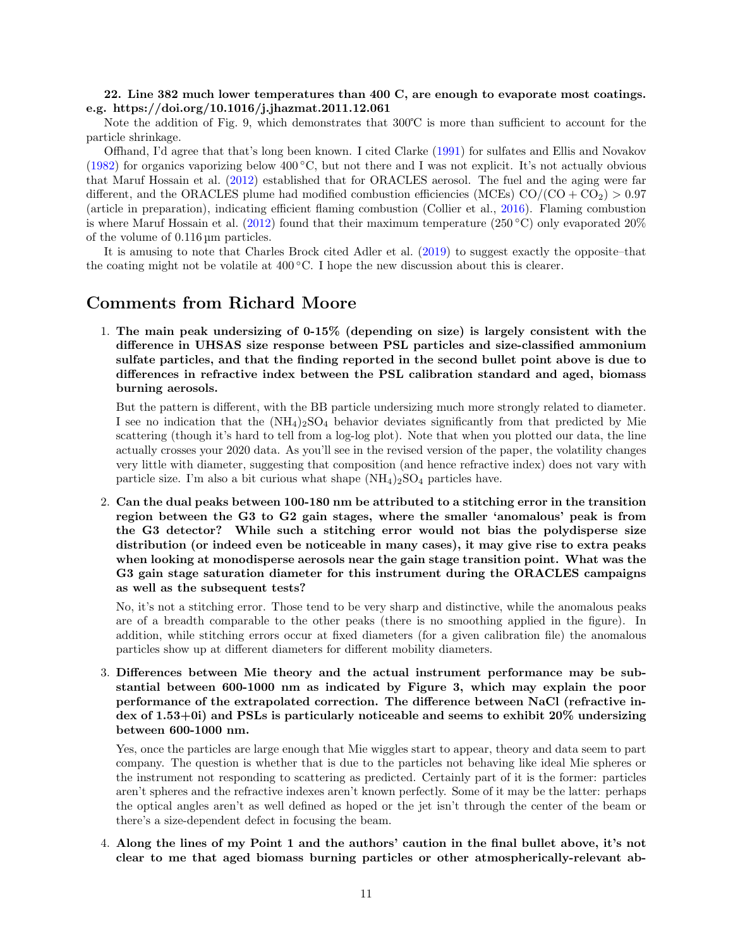#### 22. Line 382 much lower temperatures than 400 C, are enough to evaporate most coatings. e.g. https://doi.org/10.1016/j.jhazmat.2011.12.061

Note the addition of Fig. 9, which demonstrates that 300℃ is more than sufficient to account for the particle shrinkage.

Offhand, I'd agree that that's long been known. I cited Clarke [\(1991\)](#page-13-10) for sulfates and Ellis and Novakov [\(1982\)](#page-13-11) for organics vaporizing below 400 °C, but not there and I was not explicit. It's not actually obvious that Maruf Hossain et al. [\(2012\)](#page-13-12) established that for ORACLES aerosol. The fuel and the aging were far different, and the ORACLES plume had modified combustion efficiencies (MCEs)  $CO/(CO + CO<sub>2</sub>) > 0.97$ (article in preparation), indicating efficient flaming combustion (Collier et al., [2016\)](#page-13-13). Flaming combustion is where Maruf Hossain et al. [\(2012\)](#page-13-12) found that their maximum temperature (250 °C) only evaporated 20% of the volume of 0.116 µm particles.

It is amusing to note that Charles Brock cited Adler et al. [\(2019\)](#page-11-2) to suggest exactly the opposite–that the coating might not be volatile at  $400\degree\text{C}$ . I hope the new discussion about this is clearer.

### Comments from Richard Moore

1. The main peak undersizing of 0-15% (depending on size) is largely consistent with the difference in UHSAS size response between PSL particles and size-classified ammonium sulfate particles, and that the finding reported in the second bullet point above is due to differences in refractive index between the PSL calibration standard and aged, biomass burning aerosols.

But the pattern is different, with the BB particle undersizing much more strongly related to diameter. I see no indication that the  $(NH_4)_2SO_4$  behavior deviates significantly from that predicted by Mie scattering (though it's hard to tell from a log-log plot). Note that when you plotted our data, the line actually crosses your 2020 data. As you'll see in the revised version of the paper, the volatility changes very little with diameter, suggesting that composition (and hence refractive index) does not vary with particle size. I'm also a bit curious what shape  $(NH_4)_2SO_4$  particles have.

2. Can the dual peaks between 100-180 nm be attributed to a stitching error in the transition region between the G3 to G2 gain stages, where the smaller 'anomalous' peak is from the G3 detector? While such a stitching error would not bias the polydisperse size distribution (or indeed even be noticeable in many cases), it may give rise to extra peaks when looking at monodisperse aerosols near the gain stage transition point. What was the G3 gain stage saturation diameter for this instrument during the ORACLES campaigns as well as the subsequent tests?

No, it's not a stitching error. Those tend to be very sharp and distinctive, while the anomalous peaks are of a breadth comparable to the other peaks (there is no smoothing applied in the figure). In addition, while stitching errors occur at fixed diameters (for a given calibration file) the anomalous particles show up at different diameters for different mobility diameters.

3. Differences between Mie theory and the actual instrument performance may be substantial between 600-1000 nm as indicated by Figure 3, which may explain the poor performance of the extrapolated correction. The difference between NaCl (refractive index of 1.53+0i) and PSLs is particularly noticeable and seems to exhibit 20% undersizing between 600-1000 nm.

Yes, once the particles are large enough that Mie wiggles start to appear, theory and data seem to part company. The question is whether that is due to the particles not behaving like ideal Mie spheres or the instrument not responding to scattering as predicted. Certainly part of it is the former: particles aren't spheres and the refractive indexes aren't known perfectly. Some of it may be the latter: perhaps the optical angles aren't as well defined as hoped or the jet isn't through the center of the beam or there's a size-dependent defect in focusing the beam.

4. Along the lines of my Point 1 and the authors' caution in the final bullet above, it's not clear to me that aged biomass burning particles or other atmospherically-relevant ab-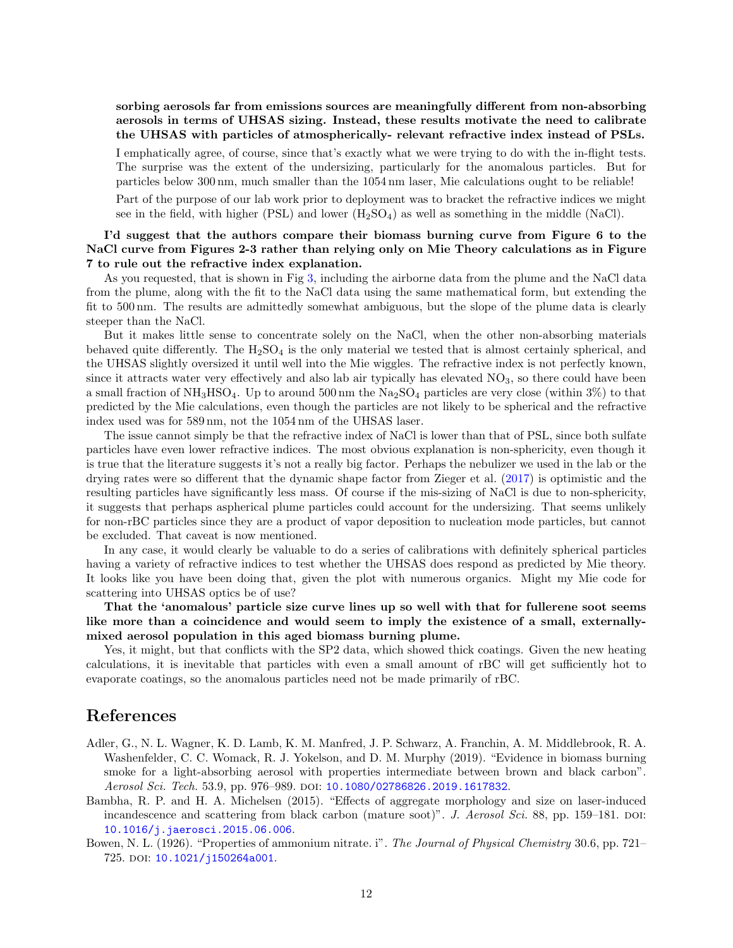#### sorbing aerosols far from emissions sources are meaningfully different from non-absorbing aerosols in terms of UHSAS sizing. Instead, these results motivate the need to calibrate the UHSAS with particles of atmospherically- relevant refractive index instead of PSLs.

I emphatically agree, of course, since that's exactly what we were trying to do with the in-flight tests. The surprise was the extent of the undersizing, particularly for the anomalous particles. But for particles below 300 nm, much smaller than the 1054 nm laser, Mie calculations ought to be reliable!

Part of the purpose of our lab work prior to deployment was to bracket the refractive indices we might see in the field, with higher (PSL) and lower  $(H_2SO_4)$  as well as something in the middle (NaCl).

#### I'd suggest that the authors compare their biomass burning curve from Figure 6 to the NaCl curve from Figures 2-3 rather than relying only on Mie Theory calculations as in Figure 7 to rule out the refractive index explanation.

As you requested, that is shown in Fig [3,](#page-12-0) including the airborne data from the plume and the NaCl data from the plume, along with the fit to the NaCl data using the same mathematical form, but extending the fit to 500 nm. The results are admittedly somewhat ambiguous, but the slope of the plume data is clearly steeper than the NaCl.

But it makes little sense to concentrate solely on the NaCl, when the other non-absorbing materials behaved quite differently. The  $H_2SO_4$  is the only material we tested that is almost certainly spherical, and the UHSAS slightly oversized it until well into the Mie wiggles. The refractive index is not perfectly known, since it attracts water very effectively and also lab air typically has elevated  $NO<sub>3</sub>$ , so there could have been a small fraction of  $NH_3HSO_4$ . Up to around 500 nm the  $Na_2SO_4$  particles are very close (within 3%) to that predicted by the Mie calculations, even though the particles are not likely to be spherical and the refractive index used was for 589 nm, not the 1054 nm of the UHSAS laser.

The issue cannot simply be that the refractive index of NaCl is lower than that of PSL, since both sulfate particles have even lower refractive indices. The most obvious explanation is non-sphericity, even though it is true that the literature suggests it's not a really big factor. Perhaps the nebulizer we used in the lab or the drying rates were so different that the dynamic shape factor from Zieger et al. [\(2017\)](#page-13-14) is optimistic and the resulting particles have significantly less mass. Of course if the mis-sizing of NaCl is due to non-sphericity, it suggests that perhaps aspherical plume particles could account for the undersizing. That seems unlikely for non-rBC particles since they are a product of vapor deposition to nucleation mode particles, but cannot be excluded. That caveat is now mentioned.

In any case, it would clearly be valuable to do a series of calibrations with definitely spherical particles having a variety of refractive indices to test whether the UHSAS does respond as predicted by Mie theory. It looks like you have been doing that, given the plot with numerous organics. Might my Mie code for scattering into UHSAS optics be of use?

That the 'anomalous' particle size curve lines up so well with that for fullerene soot seems like more than a coincidence and would seem to imply the existence of a small, externallymixed aerosol population in this aged biomass burning plume.

Yes, it might, but that conflicts with the SP2 data, which showed thick coatings. Given the new heating calculations, it is inevitable that particles with even a small amount of rBC will get sufficiently hot to evaporate coatings, so the anomalous particles need not be made primarily of rBC.

# References

- <span id="page-11-2"></span>Adler, G., N. L. Wagner, K. D. Lamb, K. M. Manfred, J. P. Schwarz, A. Franchin, A. M. Middlebrook, R. A. Washenfelder, C. C. Womack, R. J. Yokelson, and D. M. Murphy (2019). "Evidence in biomass burning smoke for a light-absorbing aerosol with properties intermediate between brown and black carbon". Aerosol Sci. Tech. 53.9, pp. 976–989. doi: [10.1080/02786826.2019.1617832](https://doi.org/10.1080/02786826.2019.1617832).
- <span id="page-11-0"></span>Bambha, R. P. and H. A. Michelsen (2015). "Effects of aggregate morphology and size on laser-induced incandescence and scattering from black carbon (mature soot)". J. Aerosol Sci. 88, pp. 159–181. DOI: [10.1016/j.jaerosci.2015.06.006](https://doi.org/10.1016/j.jaerosci.2015.06.006).
- <span id="page-11-1"></span>Bowen, N. L. (1926). "Properties of ammonium nitrate. i". The Journal of Physical Chemistry 30.6, pp. 721– 725. DOI: [10.1021/j150264a001](https://doi.org/10.1021/j150264a001).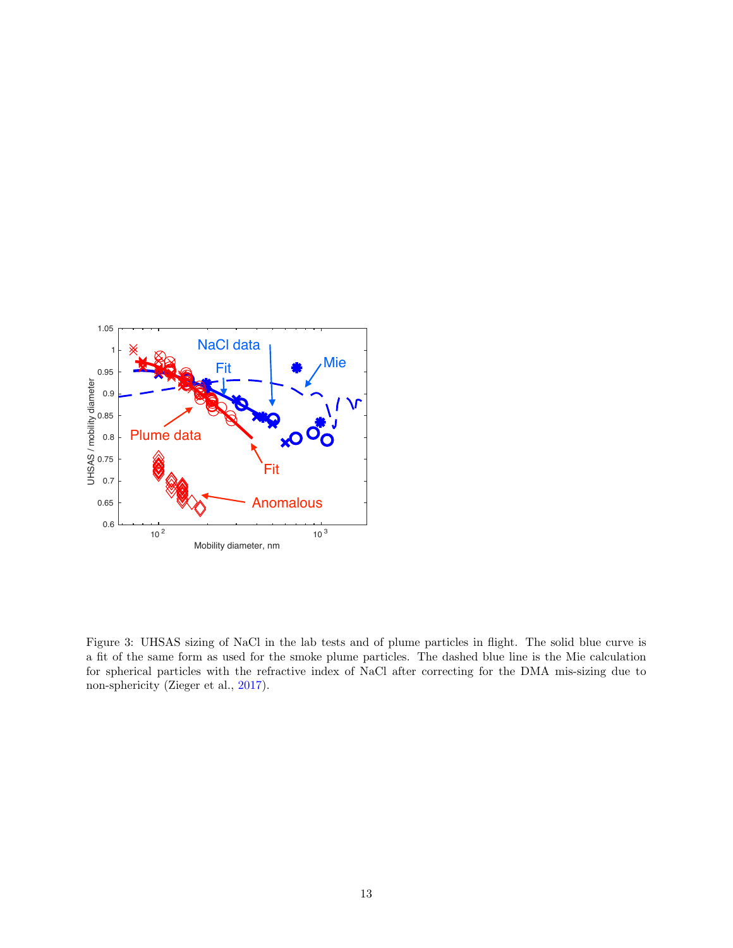

<span id="page-12-0"></span>Figure 3: UHSAS sizing of NaCl in the lab tests and of plume particles in flight. The solid blue curve is a fit of the same form as used for the smoke plume particles. The dashed blue line is the Mie calculation for spherical particles with the refractive index of NaCl after correcting for the DMA mis-sizing due to non-sphericity (Zieger et al., [2017\)](#page-13-14).